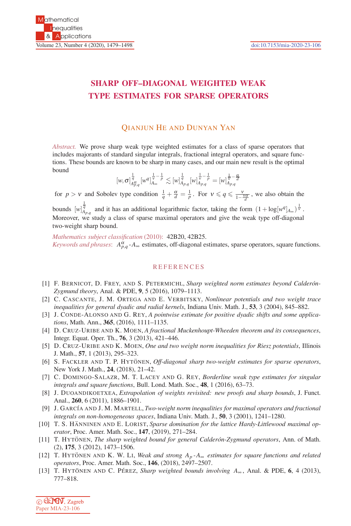## **SHARP OFF–DIAGONAL WEIGHTED WEAK TYPE ESTIMATES FOR SPARSE OPERATORS**

## QIANJUN HE AND DUNYAN YAN

*Abstract.* We prove sharp weak type weighted estimates for a class of sparse operators that includes majorants of standard singular integrals, fractional integral operators, and square functions. These bounds are known to be sharp in many cases, and our main new result is the optimal bound

$$
[w,\sigma]_{A_{p,q}^\sigma}^{\frac{1}{q}}[w^q]_{A_{\infty}}^{\frac{1}{\mathbf{V}}-\frac{1}{p}}\lesssim [w]_{A_{p,q}}^{\frac{1}{q}}[w]_{A_{p,q}}^{\frac{1}{\mathbf{V}}-\frac{1}{p}}=[w]_{A_{p,q}}^{\frac{1}{\mathbf{V}}-\frac{\alpha}{d}}
$$

for  $p > v$  and Sobolev type condition  $\frac{1}{q} + \frac{\alpha}{d} = \frac{1}{p}$ . For  $v \le q \le \frac{v}{1 - \frac{v\alpha}{d}}$ , we also obtain the

bounds  $[w]_{A_{p,q}}^{\frac{1}{q}}$  and it has an additional logarithmic factor, taking the form  $(1 + \log[w^q]_{A_{\infty}})^{\frac{1}{v}}$ . Moreover, we study a class of sparse maximal operators and give the weak type off-diagonal two-weight sharp bound.

*Mathematics subject classification* (2010): 42B20, 42B25. *Keywords and phrases*:  $A_{p,q}^{\alpha}$  - $A_{\infty}$  estimates, off-diagonal estimates, sparse operators, square functions.

## **REFERENCES**

- [1] F. BERNICOT, D. FREY, AND S. PETERMICHL, *Sharp weighted norm estimates beyond Calder´on-Zygmund theory*, Anal. & PDE, **9**, 5 (2016), 1079–1113.
- [2] C. CASCANTE, J. M. ORTEGA AND E. VERBITSKY, *Nonlinear potentials and two weight trace inequalities for general dyadic and radial kernels*, Indiana Univ. Math. J., **53**, 3 (2004), 845–882.
- [3] J. CONDE-ALONSO AND G. REY, *A pointwise estimate for positive dyadic shifts and some applications*, Math. Ann., **365**, (2016), 1111–1135.
- [4] D. CRUZ-URIBE AND K. MOEN, *A fractional Muckenhoupt-Wheeden theorem and its consequences*, Integr. Equat. Oper. Th., **76**, 3 (2013), 421–446.
- [5] D. CRUZ-URIBE AND K. MOEN, *One and two weight norm inequalities for Riesz potentials*, Illinois J. Math., **57**, 1 (2013), 295–323.
- [6] S. FACKLER AND T. P. HYTONEN, Off-diagonal sharp two-weight estimates for sparse operators, New York J. Math., **24**, (2018), 21–42.
- [7] C. DOMINGO-SALAZR, M. T. LACEY AND G. REY, *Borderline weak type estimates for singular integrals and square functions*, Bull. Lond. Math. Soc., **48**, 1 (2016), 63–73.
- [8] J. DUOANDIKOETXEA, *Extrapolation of weights revisited: new proofs and sharp bounds*, J. Funct. Anal., **260**, 6 (2011), 1886–1901.
- [9] J. GARC´IA AND J. M. MARTELL, *Two-weight norm inequalities for maximal operators and fractional integrals on non-homogeneous spaces*, Indiana Univ. Math. J., **50**, 3 (2001), 1241–1280.
- [10] T. S. HÄNNINEN AND E. LORIST, *Sparse domination for the lattice Hardy-Littlewood maximal operator*, Proc. Amer. Math. Soc., **147**, (2019), 271–284.
- [11] T. HYTONEN, *The sharp weighted bound for general Calderón-Zygmund operators*, Ann. of Math. (2), **175**, 3 (2012), 1473–1506.
- [12] T. HYTÖNEN AND K. W. LI, *Weak and strong A<sub>p</sub> ⋅A*∞ *estimates for square functions and related operators*, Proc. Amer. Math. Soc., **146**, (2018), 2497–2507.
- [13] T. HYTÖNEN AND C. PÉREZ, *Sharp weighted bounds involving*  $A_{\infty}$ , Anal. & PDE, 6, 4 (2013), 777–818.